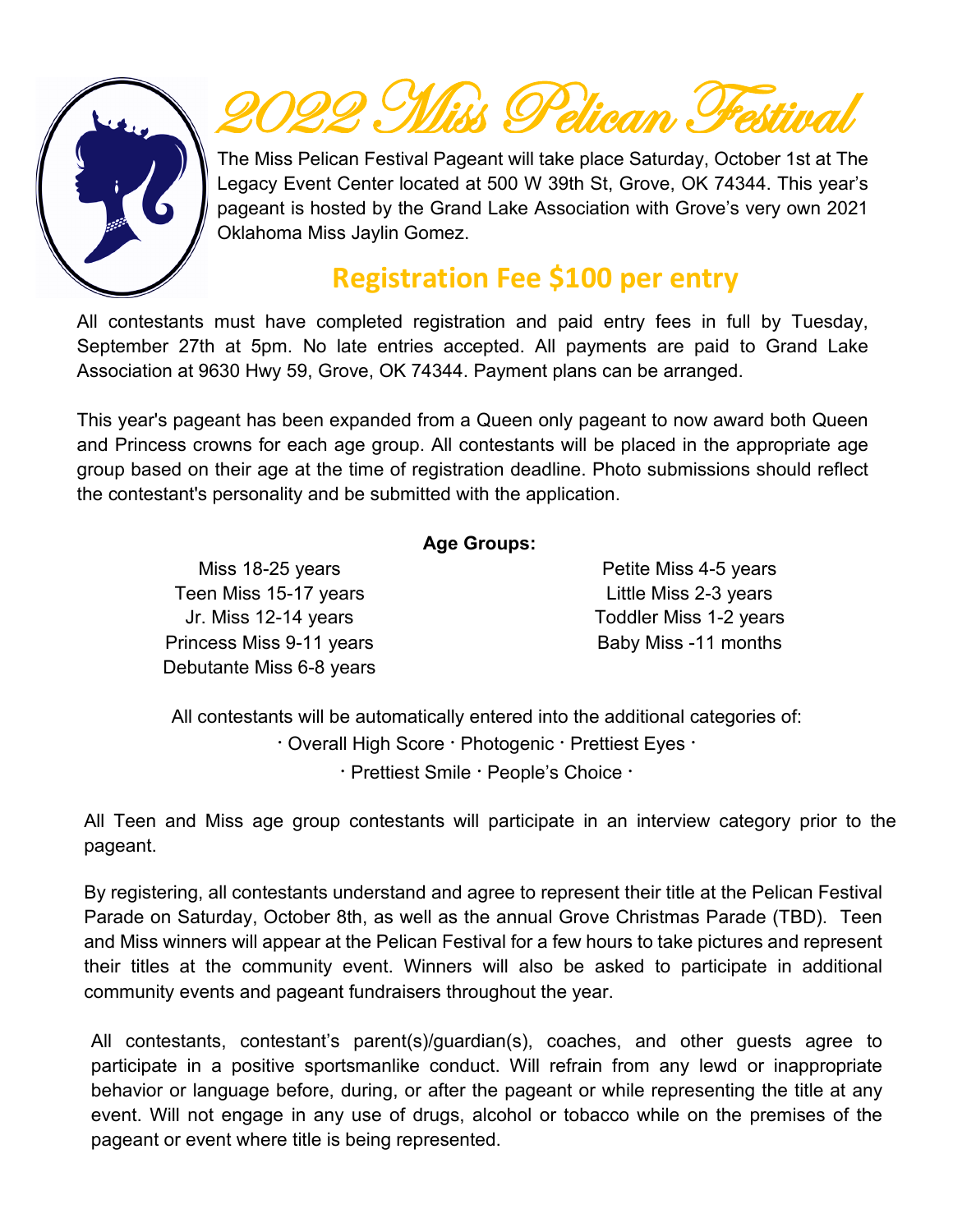

# $\mu$   $\Omega$ elican.

The Miss Pelican Festival Pageant will take place Saturday, October 1st at The Legacy Event Center located at 500 W 39th St, Grove, OK 74344. This year's pageant is hosted by the Grand Lake Association with Grove's very own 2021 Oklahoma Miss Jaylin Gomez.

## **Registration Fee \$100 per entry**

All contestants must have completed registration and paid entry fees in full by Tuesday, September 27th at 5pm. No late entries accepted. All payments are paid to Grand Lake Association at 9630 Hwy 59, Grove, OK 74344. Payment plans can be arranged.

This year's pageant has been expanded from a Queen only pageant to now award both Queen and Princess crowns for each age group. All contestants will be placed in the appropriate age group based on their age at the time of registration deadline. Photo submissions should reflect the contestant's personality and be submitted with the application.

#### **Age Groups:**

Miss 18-25 years Teen Miss 15-17 years Jr. Miss 12-14 years Princess Miss 9-11 years Debutante Miss 6-8 years

Petite Miss 4-5 years Little Miss 2-3 years Toddler Miss 1-2 years Baby Miss -11 months

All contestants will be automatically entered into the additional categories of: **ᐧ** Overall High Score **ᐧ** Photogenic **ᐧ** Prettiest Eyes **ᐧ f** Prettiest Smile **·** People's Choice **·** 

All Teen and Miss age group contestants will participate in an interview category prior to the pageant.

By registering, all contestants understand and agree to represent their title at the Pelican Festival Parade on Saturday, October 8th, as well as the annual Grove Christmas Parade (TBD). Teen and Miss winners will appear at the Pelican Festival for a few hours to take pictures and represent their titles at the community event. Winners will also be asked to participate in additional community events and pageant fundraisers throughout the year.

All contestants, contestant's parent(s)/guardian(s), coaches, and other guests agree to participate in a positive sportsmanlike conduct. Will refrain from any lewd or inappropriate behavior or language before, during, or after the pageant or while representing the title at any event. Will not engage in any use of drugs, alcohol or tobacco while on the premises of the pageant or event where title is being represented.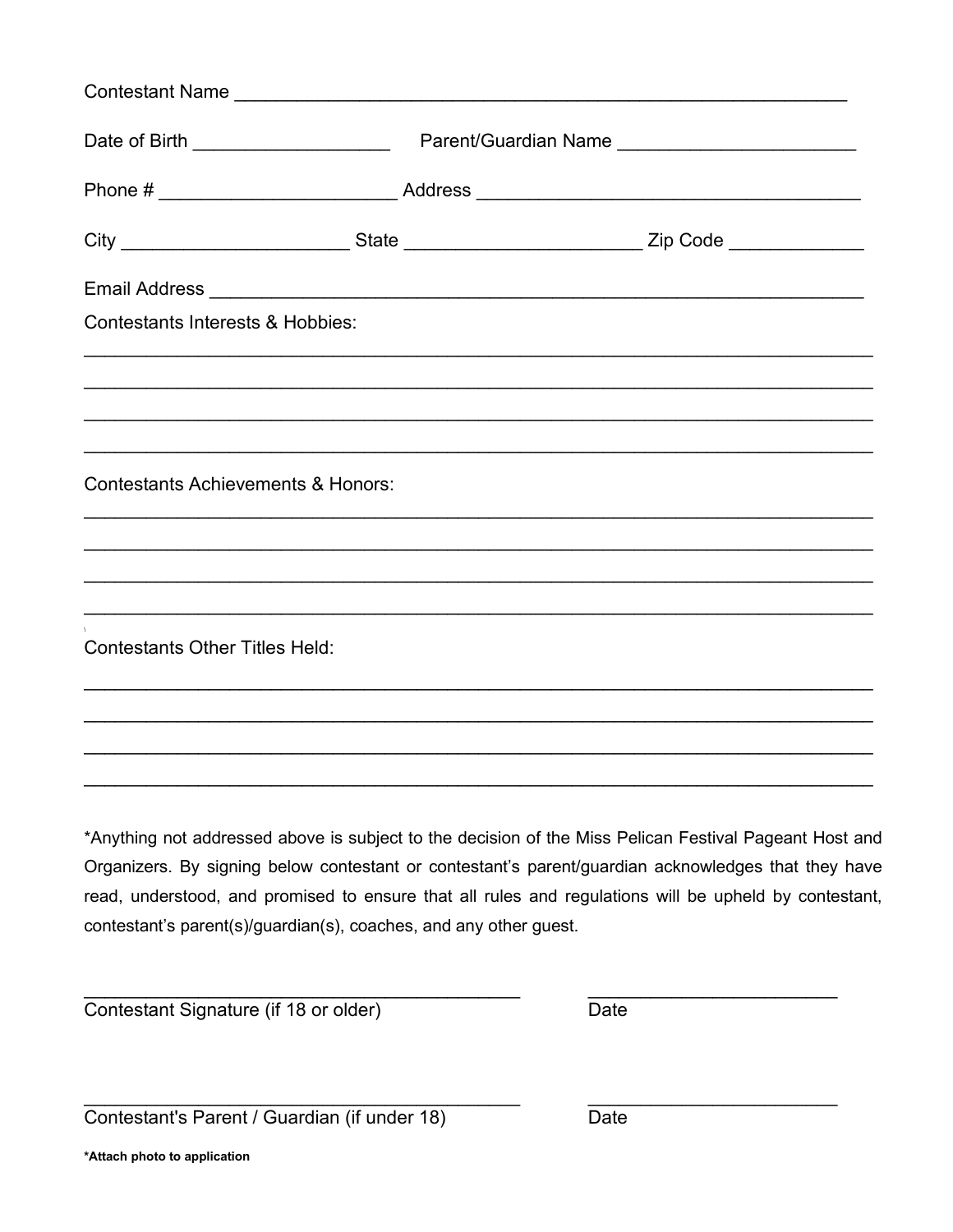|                                               |                                                                   | City ____________________________State _________________________________Zip Code __________________                                                                                                                                                                                                                    |  |  |
|-----------------------------------------------|-------------------------------------------------------------------|------------------------------------------------------------------------------------------------------------------------------------------------------------------------------------------------------------------------------------------------------------------------------------------------------------------------|--|--|
|                                               |                                                                   | Email Address <b>Automobile Contract Contract Contract Contract Contract Contract Contract Contract Contract Contract Contract Contract Contract Contract Contract Contract Contract Contract Contract Contract Contract Contrac</b>                                                                                   |  |  |
| <b>Contestants Interests &amp; Hobbies:</b>   |                                                                   |                                                                                                                                                                                                                                                                                                                        |  |  |
|                                               |                                                                   |                                                                                                                                                                                                                                                                                                                        |  |  |
| <b>Contestants Achievements &amp; Honors:</b> |                                                                   |                                                                                                                                                                                                                                                                                                                        |  |  |
|                                               |                                                                   |                                                                                                                                                                                                                                                                                                                        |  |  |
| <b>Contestants Other Titles Held:</b>         |                                                                   |                                                                                                                                                                                                                                                                                                                        |  |  |
|                                               |                                                                   |                                                                                                                                                                                                                                                                                                                        |  |  |
|                                               |                                                                   |                                                                                                                                                                                                                                                                                                                        |  |  |
|                                               | contestant's parent(s)/guardian(s), coaches, and any other guest. | *Anything not addressed above is subject to the decision of the Miss Pelican Festival Pageant Host and<br>Organizers. By signing below contestant or contestant's parent/guardian acknowledges that they have<br>read, understood, and promised to ensure that all rules and regulations will be upheld by contestant, |  |  |

Contestant Signature (if 18 or older)

Date

Contestant's Parent / Guardian (if under 18)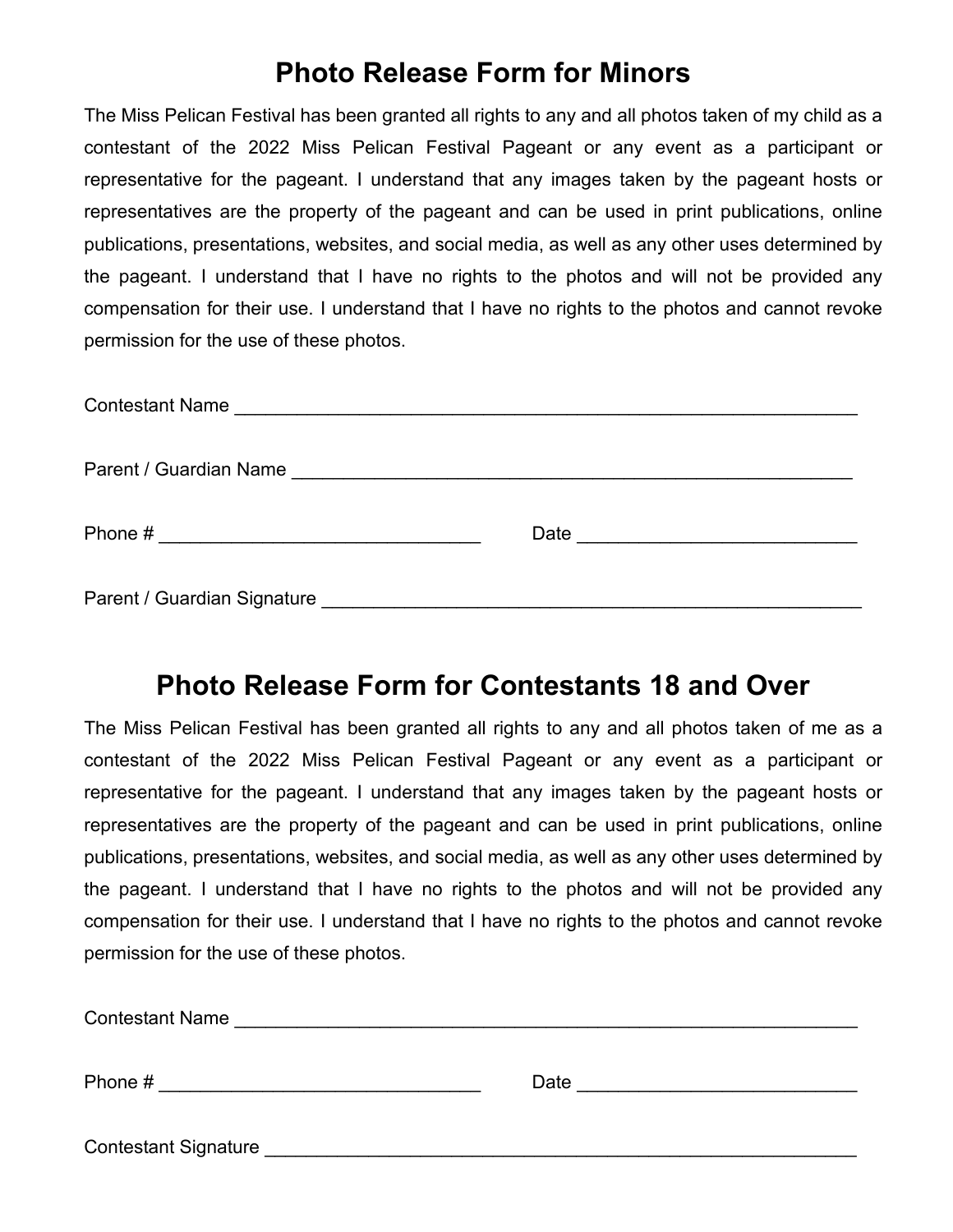## **Photo Release Form for Minors**

The Miss Pelican Festival has been granted all rights to any and all photos taken of my child as a contestant of the 2022 Miss Pelican Festival Pageant or any event as a participant or representative for the pageant. I understand that any images taken by the pageant hosts or representatives are the property of the pageant and can be used in print publications, online publications, presentations, websites, and social media, as well as any other uses determined by the pageant. I understand that I have no rights to the photos and will not be provided any compensation for their use. I understand that I have no rights to the photos and cannot revoke permission for the use of these photos.

| Date <u>_______________________</u> |  |
|-------------------------------------|--|
|                                     |  |

### **Photo Release Form for Contestants 18 and Over**

The Miss Pelican Festival has been granted all rights to any and all photos taken of me as a contestant of the 2022 Miss Pelican Festival Pageant or any event as a participant or representative for the pageant. I understand that any images taken by the pageant hosts or representatives are the property of the pageant and can be used in print publications, online publications, presentations, websites, and social media, as well as any other uses determined by the pageant. I understand that I have no rights to the photos and will not be provided any compensation for their use. I understand that I have no rights to the photos and cannot revoke permission for the use of these photos.

| <b>Contestant Name</b>      |      |
|-----------------------------|------|
| Phone #                     | Date |
| <b>Contestant Signature</b> |      |